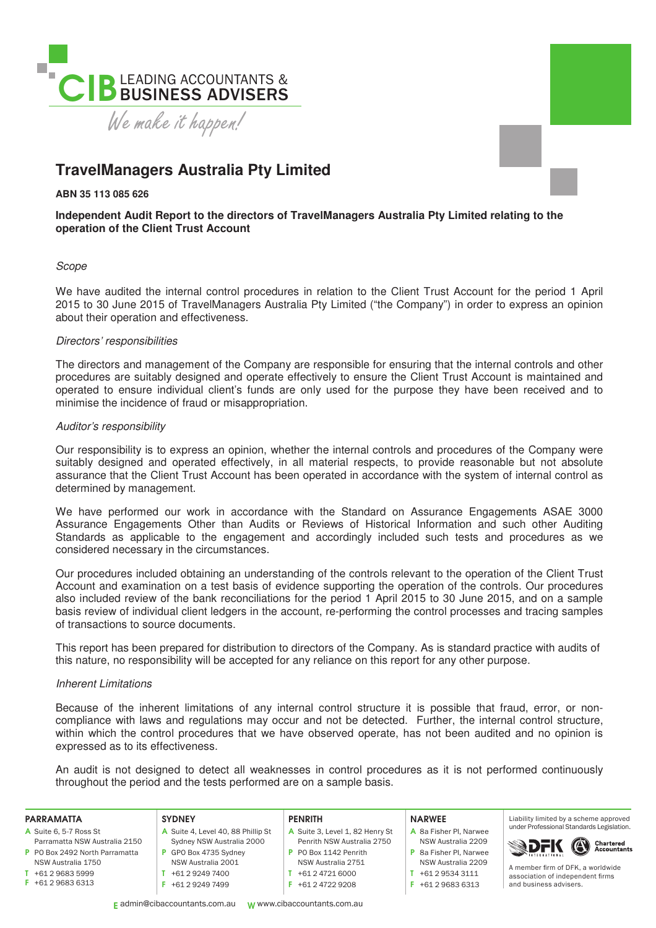

# **TravelManagers Australia Pty Limited**

**ABN 35 113 085 626** 

## **Independent Audit Report to the directors of TravelManagers Australia Pty Limited relating to the operation of the Client Trust Account**

## Scope

We have audited the internal control procedures in relation to the Client Trust Account for the period 1 April 2015 to 30 June 2015 of TravelManagers Australia Pty Limited ("the Company") in order to express an opinion about their operation and effectiveness.

## Directors' responsibilities

The directors and management of the Company are responsible for ensuring that the internal controls and other procedures are suitably designed and operate effectively to ensure the Client Trust Account is maintained and operated to ensure individual client's funds are only used for the purpose they have been received and to minimise the incidence of fraud or misappropriation.

## Auditor's responsibility

Our responsibility is to express an opinion, whether the internal controls and procedures of the Company were suitably designed and operated effectively, in all material respects, to provide reasonable but not absolute assurance that the Client Trust Account has been operated in accordance with the system of internal control as determined by management.

We have performed our work in accordance with the Standard on Assurance Engagements ASAE 3000 Assurance Engagements Other than Audits or Reviews of Historical Information and such other Auditing Standards as applicable to the engagement and accordingly included such tests and procedures as we considered necessary in the circumstances.

Our procedures included obtaining an understanding of the controls relevant to the operation of the Client Trust Account and examination on a test basis of evidence supporting the operation of the controls. Our procedures also included review of the bank reconciliations for the period 1 April 2015 to 30 June 2015, and on a sample basis review of individual client ledgers in the account, re-performing the control processes and tracing samples of transactions to source documents.

This report has been prepared for distribution to directors of the Company. As is standard practice with audits of this nature, no responsibility will be accepted for any reliance on this report for any other purpose.

## Inherent Limitations

Because of the inherent limitations of any internal control structure it is possible that fraud, error, or noncompliance with laws and regulations may occur and not be detected. Further, the internal control structure, within which the control procedures that we have observed operate, has not been audited and no opinion is expressed as to its effectiveness.

An audit is not designed to detect all weaknesses in control procedures as it is not performed continuously throughout the period and the tests performed are on a sample basis.

### PARRAMATTA

| A Suite 6, 5-7 Ross St        |  |  |
|-------------------------------|--|--|
| Parramatta NSW Australia 2150 |  |  |

- P PO Box 2492 North Parramatta NSW Australia 1750
- $T +61 2 9683 5999$
- F +61 2 9683 6313
- **SYDNEY** A Suite 4, Level 40, 88 Phillip St Sydney NSW Australia 2000 P GPO Box 4735 Sydney NSW Australia 2001

T +61 2 9249 7400 F +61 2 9249 7499

## **PENRITH**

- A Suite 3, Level 1, 82 Henry St Penrith NSW Australia 2750 P PO Box 1142 Penrith NSW Australia 2751
- T +61 2 4721 6000
- 
- F +61 2 4722 9208

#### NARWEE

- A 8a Fisher Pl, Narwee NSW Australia 2209 P 8a Fisher Pl, Narwee NSW Australia 2209
- T +61 2 9534 3111
- F +61 2 9683 6313

Liability limited by a scheme approved under Professional Standards Legislation.



A member firm of DFK a worldwide association of independent firms and business advisers.